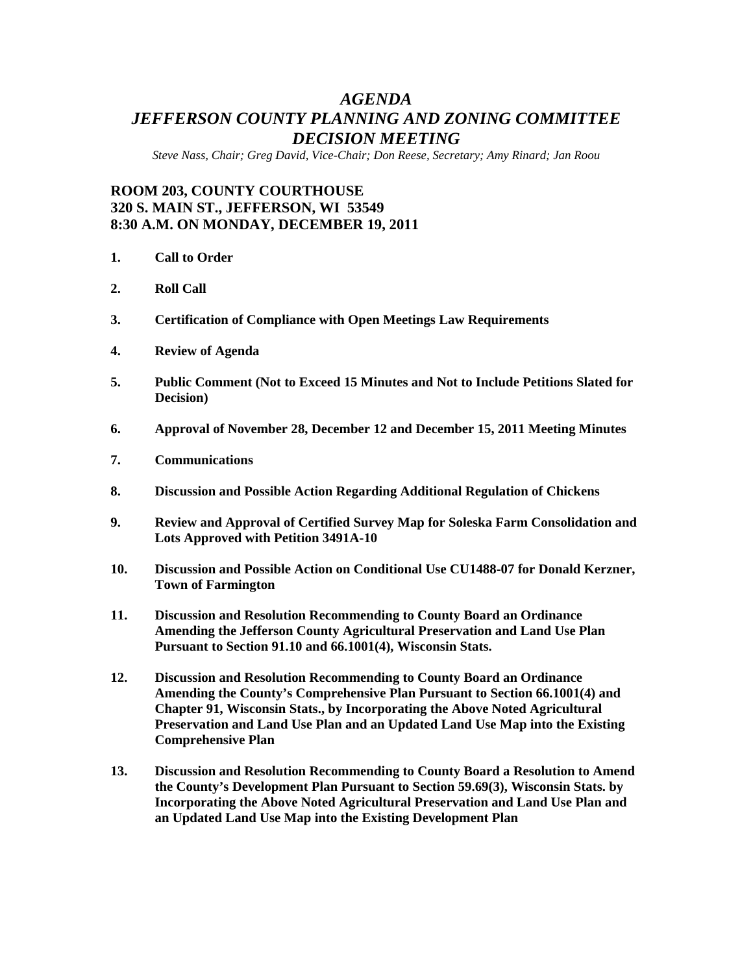# *AGENDA JEFFERSON COUNTY PLANNING AND ZONING COMMITTEE DECISION MEETING*

*Steve Nass, Chair; Greg David, Vice-Chair; Don Reese, Secretary; Amy Rinard; Jan Roou* 

## **ROOM 203, COUNTY COURTHOUSE 320 S. MAIN ST., JEFFERSON, WI 53549 8:30 A.M. ON MONDAY, DECEMBER 19, 2011**

- **1. Call to Order**
- **2. Roll Call**
- **3. Certification of Compliance with Open Meetings Law Requirements**
- **4. Review of Agenda**
- **5. Public Comment (Not to Exceed 15 Minutes and Not to Include Petitions Slated for Decision)**
- **6. Approval of November 28, December 12 and December 15, 2011 Meeting Minutes**
- **7. Communications**
- **8. Discussion and Possible Action Regarding Additional Regulation of Chickens**
- **9. Review and Approval of Certified Survey Map for Soleska Farm Consolidation and Lots Approved with Petition 3491A-10**
- **10. Discussion and Possible Action on Conditional Use CU1488-07 for Donald Kerzner, Town of Farmington**
- **11. Discussion and Resolution Recommending to County Board an Ordinance Amending the Jefferson County Agricultural Preservation and Land Use Plan Pursuant to Section 91.10 and 66.1001(4), Wisconsin Stats.**
- **12. Discussion and Resolution Recommending to County Board an Ordinance Amending the County's Comprehensive Plan Pursuant to Section 66.1001(4) and Chapter 91, Wisconsin Stats., by Incorporating the Above Noted Agricultural Preservation and Land Use Plan and an Updated Land Use Map into the Existing Comprehensive Plan**
- **13. Discussion and Resolution Recommending to County Board a Resolution to Amend the County's Development Plan Pursuant to Section 59.69(3), Wisconsin Stats. by Incorporating the Above Noted Agricultural Preservation and Land Use Plan and an Updated Land Use Map into the Existing Development Plan**